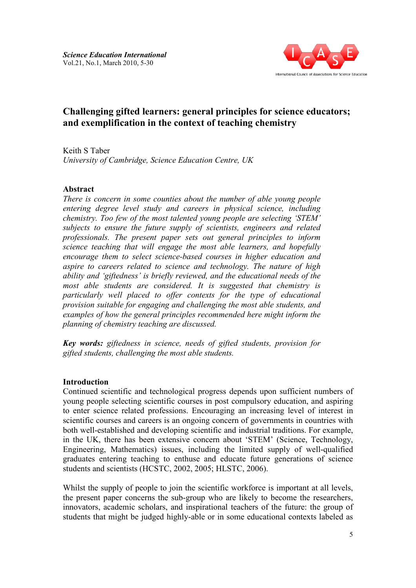

# **Challenging gifted learners: general principles for science educators; e Challenging gifted learners: general principles for sciene<br>and exemplification in the context of teaching chemistry**

Keith S Taber *University of Cambridge, Science Education Centre, UK* 

## **Abstract**

*There is concern in some counties about the number of able young people entering degree level study and careers in physical science, including chemistry. Too few of the most talented young people are selecting 'STEM' subjects to ensure the future supply of scientists, engineers and related professionals. The present paper sets out general principles to inform science teaching that will engage the most able learners, and hopefully encourage them to select science* aspire to careers related to science and technology. The nature of high *ability and 'giftedness' is briefly reviewed, and the educational needs of the most able students are considered. It is suggested that chemistry is particularly well placed to offer contexts for the type of educational provision suitable for engaging and challenging the most able students, and examples of how the general principles recommended here might inform the planning of chemistry teaching are discussed. udy and careers in physical science, including most talented young people are selecting 'STEM' iture supply of scientists, engineers and related ent paper sets out general principles to inform ill engage the most ab* gaging and challenging the most able students, and<br>eral principles recommended here might inform the<br>uching are discussed.<br>n science, needs of gifted students, provision for *try is*<br>*tional*<br>*ts, and*<br>*rm the*<br>*on for* 

*Key words: giftedness in science* gifted students, challenging the most able students.

### **Introduction**

Continued scientific and technological progress depends upon sufficient numbers of young people selecting scientific courses in post compulsory education, and aspiring to enter science related professions. Encouraging an increasing level of interest scientific courses and careers is an ongoing concern of governments in countries with both well-established and developing scientific and industrial traditions. For example, in the UK, there has been extensive concern about 'STEM' (Science, Technology, Engineering, Mathematics) issues, including the limited supply of well graduates entering teaching to enthuse and educate future generations of science students and scientists (HCSTC, 2002, 2005; HLSTC, 2006). cientific<br>professic<br>reers is an<br>l develop<br>en exten cs) issues, including the limited supply of well-qualified<br>ing to enthuse and educate future generations of science<br>ICSTC, 2002, 2005; HLSTC, 2006).<br>ple to join the scientific workforce is important at all levels, ent numbers of<br>on, and aspiring<br>el of interest in n ns. For example,<br>ice, Technology,<br>of well-qualified

Whilst the supply of people to join the scientific workforce is important at all levels. the present paper concerns the sub-group who are likely to become the researchers, innovators, academic scholars, and inspirational teachers of the future: the group of innovators, academic scholars, and inspirational teachers of the future: the group of students that might be judged highly-able or in some educational contexts labeled as ions definitions<br>ant at the red<br>re: the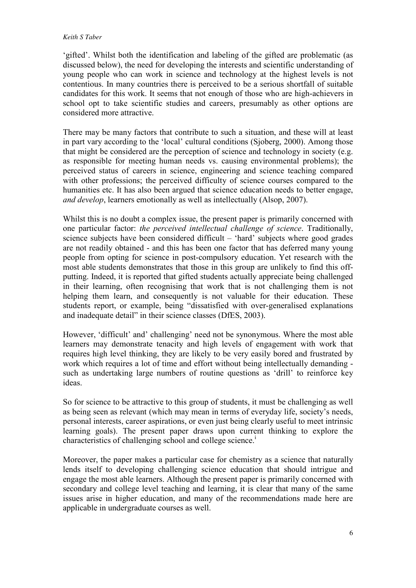#### *Keith S Taber*

'gifted'. Whilst both the identification and labeling of the gifted are problematic (as discussed below), the need for developing the interests and scientific understanding of young people who can work in science and technology at the highest levels is not contentious. In many countries there is perceived to be a serious shortfall of suitable candidates for this work. It seems that not enough of those who are high-achievers in school opt to take scientific studies and careers, presumably as other options are considered more attractive.

There may be many factors that contribute to such a situation, and these will at least in part vary according to the 'local' cultural conditions (Sjoberg, 2000). Among those that might be considered are the perception of science and technology in society (e.g. as responsible for meeting human needs vs. causing environmental problems); the perceived status of careers in science, engineering and science teaching compared with other professions; the perceived difficulty of science courses compared to the humanities etc. It has also been argued that science education needs to better engage, *and develop*, learners emotionally as well as intellectually (Alsop, 2007).

Whilst this is no doubt a complex issue, the present paper is primarily concerned with one particular factor: *the perceived intellectual challenge of science*. Traditionally, science subjects have been considered difficult – 'hard' subjects where good grades are not readily obtained - and this has been one factor that has deferred many young people from opting for science in post-compulsory education. Yet research with the most able students demonstrates that those in this group are unlikely to find this offputting. Indeed, it is reported that gifted students actually appreciate being challenged in their learning, often recognising that work that is not challenging them is not helping them learn, and consequently is not valuable for their education. These students report, or example, being "dissatisfied with over-generalised explanations and inadequate detail" in their science classes (DfES, 2003).

However, 'difficult' and' challenging' need not be synonymous. Where the most able learners may demonstrate tenacity and high levels of engagement with work that requires high level thinking, they are likely to be very easily bored and frustrated by work which requires a lot of time and effort without being intellectually demanding such as undertaking large numbers of routine questions as 'drill' to reinforce key ideas.

So for science to be attractive to this group of students, it must be challenging as well as being seen as relevant (which may mean in terms of everyday life, society's needs, personal interests, career aspirations, or even just being clearly useful to meet intrinsic learning goals). The present paper draws upon current thinking to explore the characteristics of challenging school and college science.<sup>1</sup>

Moreover, the paper makes a particular case for chemistry as a science that naturally lends itself to developing challenging science education that should intrigue and engage the most able learners. Although the present paper is primarily concerned with secondary and college level teaching and learning, it is clear that many of the same issues arise in higher education, and many of the recommendations made here are applicable in undergraduate courses as well.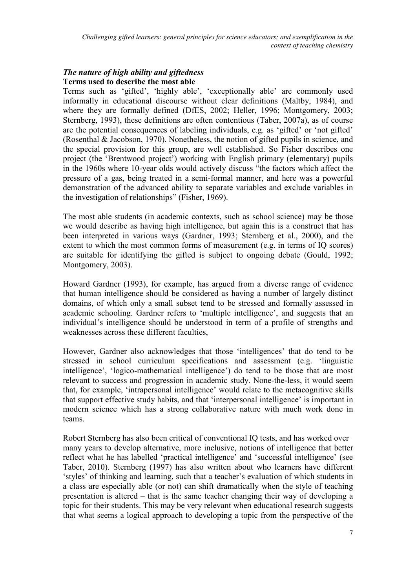# *The nature of high ability and giftedness*  **Terms used to describe the most able**

Terms such as 'gifted', 'highly able', 'exceptionally able' are commonly used informally in educational discourse without clear definitions (Maltby, 1984), and where they are formally defined (DfES, 2002; Heller, 1996; Montgomery, 2003; Sternberg, 1993), these definitions are often contentious (Taber, 2007a), as of course are the potential consequences of labeling individuals, e.g. as 'gifted' or 'not gifted' (Rosenthal & Jacobson, 1970). Nonetheless, the notion of gifted pupils in science, and the special provision for this group, are well established. So Fisher describes one project (the 'Brentwood project') working with English primary (elementary) pupils in the 1960s where 10-year olds would actively discuss "the factors which affect the pressure of a gas, being treated in a semi-formal manner, and here was a powerful demonstration of the advanced ability to separate variables and exclude variables in the investigation of relationships" (Fisher, 1969).

The most able students (in academic contexts, such as school science) may be those we would describe as having high intelligence, but again this is a construct that has been interpreted in various ways (Gardner, 1993; Sternberg et al., 2000), and the extent to which the most common forms of measurement (e.g. in terms of IQ scores) are suitable for identifying the gifted is subject to ongoing debate (Gould, 1992; Montgomery, 2003).

Howard Gardner (1993), for example, has argued from a diverse range of evidence that human intelligence should be considered as having a number of largely distinct domains, of which only a small subset tend to be stressed and formally assessed in academic schooling. Gardner refers to 'multiple intelligence', and suggests that an individual's intelligence should be understood in term of a profile of strengths and weaknesses across these different faculties,

However, Gardner also acknowledges that those 'intelligences' that do tend to be stressed in school curriculum specifications and assessment (e.g. 'linguistic intelligence', 'logico-mathematical intelligence') do tend to be those that are most relevant to success and progression in academic study. None-the-less, it would seem that, for example, 'intrapersonal intelligence' would relate to the metacognitive skills that support effective study habits, and that 'interpersonal intelligence' is important in modern science which has a strong collaborative nature with much work done in teams.

Robert Sternberg has also been critical of conventional IQ tests, and has worked over many years to develop alternative, more inclusive, notions of intelligence that better reflect what he has labelled 'practical intelligence' and 'successful intelligence' (see Taber, 2010). Sternberg (1997) has also written about who learners have different 'styles' of thinking and learning, such that a teacher's evaluation of which students in a class are especially able (or not) can shift dramatically when the style of teaching presentation is altered – that is the same teacher changing their way of developing a topic for their students. This may be very relevant when educational research suggests that what seems a logical approach to developing a topic from the perspective of the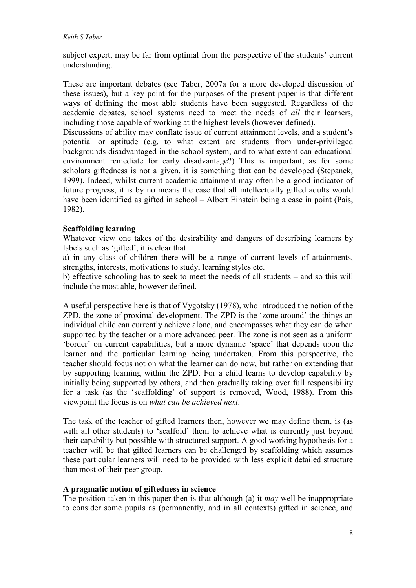subject expert, may be far from optimal from the perspective of the students' current understanding.

These are important debates (see Taber, 2007a for a more developed discussion of these issues), but a key point for the purposes of the present paper is that different ways of defining the most able students have been suggested. Regardless of the academic debates, school systems need to meet the needs of *all* their learners, including those capable of working at the highest levels (however defined).

Discussions of ability may conflate issue of current attainment levels, and a student's potential or aptitude (e.g. to what extent are students from under-privileged backgrounds disadvantaged in the school system, and to what extent can educational environment remediate for early disadvantage?) This is important, as for some scholars giftedness is not a given, it is something that can be developed (Stepanek, 1999). Indeed, whilst current academic attainment may often be a good indicator of future progress, it is by no means the case that all intellectually gifted adults would have been identified as gifted in school – Albert Einstein being a case in point (Pais, 1982).

### **Scaffolding learning**

Whatever view one takes of the desirability and dangers of describing learners by labels such as 'gifted', it is clear that

a) in any class of children there will be a range of current levels of attainments, strengths, interests, motivations to study, learning styles etc.

b) effective schooling has to seek to meet the needs of all students – and so this will include the most able, however defined.

A useful perspective here is that of Vygotsky (1978), who introduced the notion of the ZPD, the zone of proximal development. The ZPD is the 'zone around' the things an individual child can currently achieve alone, and encompasses what they can do when supported by the teacher or a more advanced peer. The zone is not seen as a uniform 'border' on current capabilities, but a more dynamic 'space' that depends upon the learner and the particular learning being undertaken. From this perspective, the teacher should focus not on what the learner can do now, but rather on extending that by supporting learning within the ZPD. For a child learns to develop capability by initially being supported by others, and then gradually taking over full responsibility for a task (as the 'scaffolding' of support is removed, Wood, 1988). From this viewpoint the focus is on *what can be achieved next*.

The task of the teacher of gifted learners then, however we may define them, is (as with all other students) to 'scaffold' them to achieve what is currently just beyond their capability but possible with structured support. A good working hypothesis for a teacher will be that gifted learners can be challenged by scaffolding which assumes these particular learners will need to be provided with less explicit detailed structure than most of their peer group.

#### **A pragmatic notion of giftedness in science**

The position taken in this paper then is that although (a) it *may* well be inappropriate to consider some pupils as (permanently, and in all contexts) gifted in science, and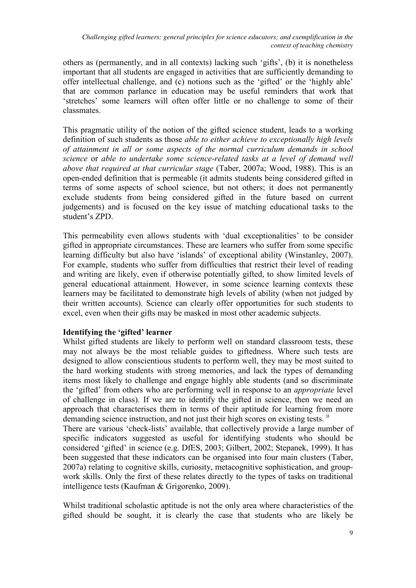others as (permanently, and in all contexts) lacking such 'gifts', (b) it is nonetheless important that all students are engaged in activities that are sufficiently demanding to offer intellectual challenge, and (c) notions such as the 'gifted' or the 'highly able' that are common parlance in education may be useful reminders that work that 'stretches' some learners will often offer little or no challenge to some of their classmates.

This pragmatic utility of the notion of the gifted science student, leads to a working definition of such students as those *able to either achieve to exceptionally high levels of attainment in all or some aspects of the normal curriculum demands in school science* or *able to undertake some science-related tasks at a level of demand well above that required at that curricular stage* (Taber, 2007a; Wood, 1988). This is an open-ended definition that is permeable (it admits students being considered gifted in terms of some aspects of school science, but not others; it does not permanently exclude students from being considered gifted in the future based on current judgements) and is focused on the key issue of matching educational tasks to the student's ZPD.

This permeability even allows students with 'dual exceptionalities' to be consider gifted in appropriate circumstances. These are learners who suffer from some specific learning difficulty but also have 'islands' of exceptional ability (Winstanley, 2007). For example, students who suffer from difficulties that restrict their level of reading and writing are likely, even if otherwise potentially gifted, to show limited levels of general educational attainment. However, in some science learning contexts these learners may be facilitated to demonstrate high levels of ability (when not judged by their written accounts). Science can clearly offer opportunities for such students to excel, even when their gifts may be masked in most other academic subjects.

# **Identifying the 'gifted' learner**

Whilst gifted students are likely to perform well on standard classroom tests, these may not always be the most reliable guides to giftedness. Where such tests are designed to allow conscientious students to perform well, they may be most suited to the hard working students with strong memories, and lack the types of demanding items most likely to challenge and engage highly able students (and so discriminate the 'gifted' from others who are performing well in response to an *appropriate* level of challenge in class). If we are to identify the gifted in science, then we need an approach that characterises them in terms of their aptitude for learning from more demanding science instruction, and not just their high scores on existing tests. <sup>ii</sup>

There are various 'check-lists' available, that collectively provide a large number of specific indicators suggested as useful for identifying students who should be considered 'gifted' in science (e.g. DfES, 2003; Gilbert, 2002; Stepanek, 1999). It has been suggested that these indicators can be organised into four main clusters (Taber, 2007a) relating to cognitive skills, curiosity, metacognitive sophistication, and groupwork skills. Only the first of these relates directly to the types of tasks on traditional intelligence tests (Kaufman & Grigorenko, 2009).

Whilst traditional scholastic aptitude is not the only area where characteristics of the gifted should be sought, it is clearly the case that students who are likely be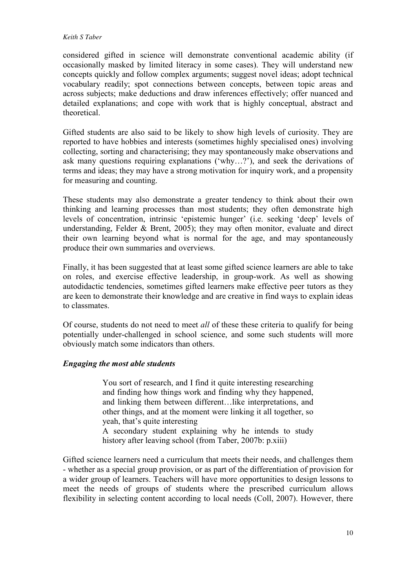#### *Keith S Taber*

considered gifted in science will demonstrate conventional academic ability (if occasionally masked by limited literacy in some cases). They will understand new concepts quickly and follow complex arguments; suggest novel ideas; adopt technical vocabulary readily; spot connections between concepts, between topic areas and across subjects; make deductions and draw inferences effectively; offer nuanced and detailed explanations; and cope with work that is highly conceptual, abstract and theoretical.

Gifted students are also said to be likely to show high levels of curiosity. They are reported to have hobbies and interests (sometimes highly specialised ones) involving collecting, sorting and characterising; they may spontaneously make observations and ask many questions requiring explanations ('why…?'), and seek the derivations of terms and ideas; they may have a strong motivation for inquiry work, and a propensity for measuring and counting.

These students may also demonstrate a greater tendency to think about their own thinking and learning processes than most students; they often demonstrate high levels of concentration, intrinsic 'epistemic hunger' (i.e. seeking 'deep' levels of understanding, Felder & Brent, 2005); they may often monitor, evaluate and direct their own learning beyond what is normal for the age, and may spontaneously produce their own summaries and overviews.

Finally, it has been suggested that at least some gifted science learners are able to take on roles, and exercise effective leadership, in group-work. As well as showing autodidactic tendencies, sometimes gifted learners make effective peer tutors as they are keen to demonstrate their knowledge and are creative in find ways to explain ideas to classmates.

Of course, students do not need to meet *all* of these these criteria to qualify for being potentially under-challenged in school science, and some such students will more obviously match some indicators than others.

# *Engaging the most able students*

You sort of research, and I find it quite interesting researching and finding how things work and finding why they happened, and linking them between different…like interpretations, and other things, and at the moment were linking it all together, so yeah, that's quite interesting

A secondary student explaining why he intends to study history after leaving school (from Taber, 2007b: p.xiii)

Gifted science learners need a curriculum that meets their needs, and challenges them - whether as a special group provision, or as part of the differentiation of provision for a wider group of learners. Teachers will have more opportunities to design lessons to meet the needs of groups of students where the prescribed curriculum allows flexibility in selecting content according to local needs (Coll, 2007). However, there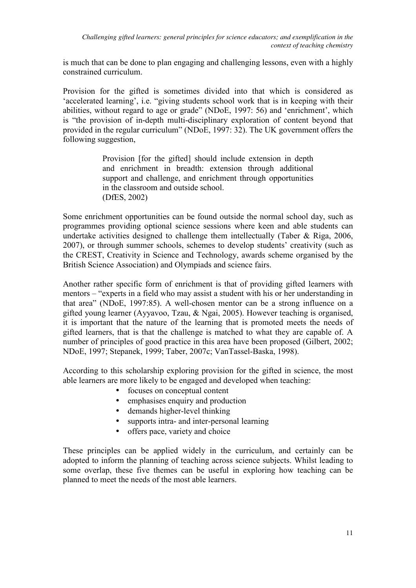is much that can be done to plan engaging and challenging lessons, even with a highly constrained curriculum.

Provision for the gifted is sometimes divided into that which is considered as 'accelerated learning', i.e. "giving students school work that is in keeping with their abilities, without regard to age or grade" (NDoE, 1997: 56) and 'enrichment', which is "the provision of in-depth multi-disciplinary exploration of content beyond that provided in the regular curriculum" (NDoE, 1997: 32). The UK government offers the following suggestion,

> Provision [for the gifted] should include extension in depth and enrichment in breadth: extension through additional support and challenge, and enrichment through opportunities in the classroom and outside school. (DfES, 2002)

Some enrichment opportunities can be found outside the normal school day, such as programmes providing optional science sessions where keen and able students can undertake activities designed to challenge them intellectually (Taber & Riga, 2006, 2007), or through summer schools, schemes to develop students' creativity (such as the CREST, Creativity in Science and Technology, awards scheme organised by the British Science Association) and Olympiads and science fairs.

Another rather specific form of enrichment is that of providing gifted learners with mentors – "experts in a field who may assist a student with his or her understanding in that area" (NDoE, 1997:85). A well-chosen mentor can be a strong influence on a gifted young learner (Ayyavoo, Tzau, & Ngai, 2005). However teaching is organised, it is important that the nature of the learning that is promoted meets the needs of gifted learners, that is that the challenge is matched to what they are capable of. A number of principles of good practice in this area have been proposed (Gilbert, 2002; NDoE, 1997; Stepanek, 1999; Taber, 2007c; VanTassel-Baska, 1998).

According to this scholarship exploring provision for the gifted in science, the most able learners are more likely to be engaged and developed when teaching:

- focuses on conceptual content
- emphasises enquiry and production
- demands higher-level thinking
- supports intra- and inter-personal learning
- offers pace, variety and choice

These principles can be applied widely in the curriculum, and certainly can be adopted to inform the planning of teaching across science subjects. Whilst leading to some overlap, these five themes can be useful in exploring how teaching can be planned to meet the needs of the most able learners.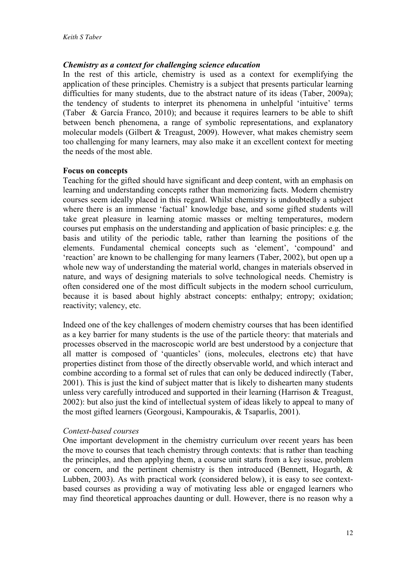### *Chemistry as a context for challenging science education*

In the rest of this article, chemistry is used as a context for exemplifying the application of these principles. Chemistry is a subject that presents particular learning difficulties for many students, due to the abstract nature of its ideas (Taber, 2009a); the tendency of students to interpret its phenomena in unhelpful 'intuitive' terms (Taber & García Franco, 2010); and because it requires learners to be able to shift between bench phenomena, a range of symbolic representations, and explanatory molecular models (Gilbert & Treagust, 2009). However, what makes chemistry seem too challenging for many learners, may also make it an excellent context for meeting the needs of the most able.

#### **Focus on concepts**

Teaching for the gifted should have significant and deep content, with an emphasis on learning and understanding concepts rather than memorizing facts. Modern chemistry courses seem ideally placed in this regard. Whilst chemistry is undoubtedly a subject where there is an immense 'factual' knowledge base, and some gifted students will take great pleasure in learning atomic masses or melting temperatures, modern courses put emphasis on the understanding and application of basic principles: e.g. the basis and utility of the periodic table, rather than learning the positions of the elements. Fundamental chemical concepts such as 'element', 'compound' and 'reaction' are known to be challenging for many learners (Taber, 2002), but open up a whole new way of understanding the material world, changes in materials observed in nature, and ways of designing materials to solve technological needs. Chemistry is often considered one of the most difficult subjects in the modern school curriculum, because it is based about highly abstract concepts: enthalpy; entropy; oxidation; reactivity; valency, etc.

Indeed one of the key challenges of modern chemistry courses that has been identified as a key barrier for many students is the use of the particle theory: that materials and processes observed in the macroscopic world are best understood by a conjecture that all matter is composed of 'quanticles' (ions, molecules, electrons etc) that have properties distinct from those of the directly observable world, and which interact and combine according to a formal set of rules that can only be deduced indirectly (Taber, 2001). This is just the kind of subject matter that is likely to dishearten many students unless very carefully introduced and supported in their learning (Harrison & Treagust, 2002): but also just the kind of intellectual system of ideas likely to appeal to many of the most gifted learners (Georgousi, Kampourakis, & Tsaparlis, 2001).

#### *Context-based courses*

One important development in the chemistry curriculum over recent years has been the move to courses that teach chemistry through contexts: that is rather than teaching the principles, and then applying them, a course unit starts from a key issue, problem or concern, and the pertinent chemistry is then introduced (Bennett, Hogarth, & Lubben, 2003). As with practical work (considered below), it is easy to see contextbased courses as providing a way of motivating less able or engaged learners who may find theoretical approaches daunting or dull. However, there is no reason why a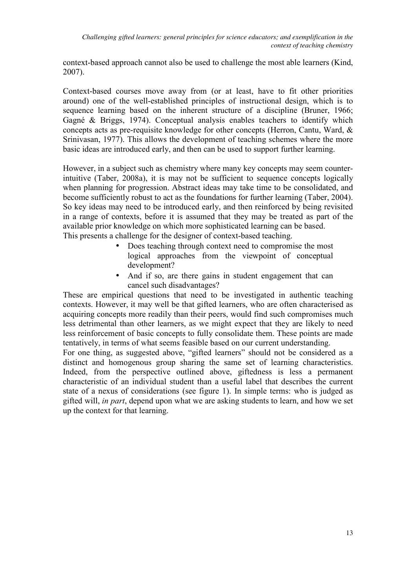context-based approach cannot also be used to challenge the most able learners (Kind, 2007).

Context-based courses move away from (or at least, have to fit other priorities around) one of the well-established principles of instructional design, which is to sequence learning based on the inherent structure of a discipline (Bruner, 1966; Gagné & Briggs, 1974). Conceptual analysis enables teachers to identify which concepts acts as pre-requisite knowledge for other concepts (Herron, Cantu, Ward, & Srinivasan, 1977). This allows the development of teaching schemes where the more basic ideas are introduced early, and then can be used to support further learning.

However, in a subject such as chemistry where many key concepts may seem counterintuitive (Taber, 2008a), it is may not be sufficient to sequence concepts logically when planning for progression. Abstract ideas may take time to be consolidated, and become sufficiently robust to act as the foundations for further learning (Taber, 2004). So key ideas may need to be introduced early, and then reinforced by being revisited in a range of contexts, before it is assumed that they may be treated as part of the available prior knowledge on which more sophisticated learning can be based. This presents a challenge for the designer of context-based teaching.

- Does teaching through context need to compromise the most logical approaches from the viewpoint of conceptual development?
- And if so, are there gains in student engagement that can cancel such disadvantages?

These are empirical questions that need to be investigated in authentic teaching contexts. However, it may well be that gifted learners, who are often characterised as acquiring concepts more readily than their peers, would find such compromises much less detrimental than other learners, as we might expect that they are likely to need less reinforcement of basic concepts to fully consolidate them. These points are made tentatively, in terms of what seems feasible based on our current understanding.

For one thing, as suggested above, "gifted learners" should not be considered as a distinct and homogenous group sharing the same set of learning characteristics. Indeed, from the perspective outlined above, giftedness is less a permanent characteristic of an individual student than a useful label that describes the current state of a nexus of considerations (see figure 1). In simple terms: who is judged as gifted will, *in part*, depend upon what we are asking students to learn, and how we set up the context for that learning.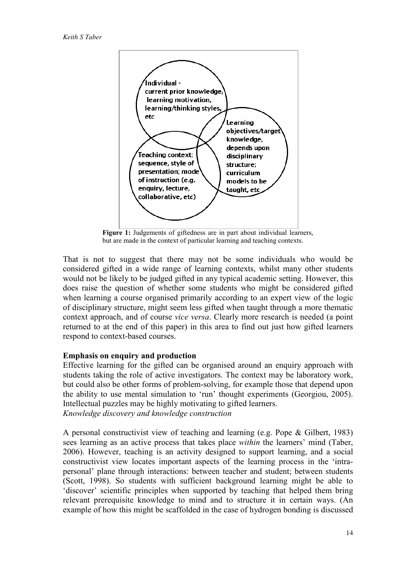

Figure 1: Judgements of giftedness are in part about individual learners, but are made in the context of particular learning and teaching contexts.

That is not to suggest that there may not be some individuals who would be considered gifted in a wide range of learning contexts, whilst many other students would not be likely to be judged gifted in any typical academic setting. However, this does raise the question of whether some students who might be considered gifted when learning a course organised primarily according to an expert view of the logic of disciplinary structure, might seem less gifted when taught through a more thematic context approach, and of course *vice versa*. Clearly more research is needed (a point returned to at the end of this paper) in this area to find out just how gifted learners respond to context-based courses.

### **Emphasis on enquiry and production**

Effective learning for the gifted can be organised around an enquiry approach with students taking the role of active investigators. The context may be laboratory work, but could also be other forms of problem-solving, for example those that depend upon the ability to use mental simulation to 'run' thought experiments (Georgiou, 2005). Intellectual puzzles may be highly motivating to gifted learners. *Knowledge discovery and knowledge construction* 

A personal constructivist view of teaching and learning (e.g. Pope & Gilbert, 1983) sees learning as an active process that takes place *within* the learners' mind (Taber, 2006). However, teaching is an activity designed to support learning, and a social constructivist view locates important aspects of the learning process in the 'intrapersonal' plane through interactions: between teacher and student; between students (Scott, 1998). So students with sufficient background learning might be able to 'discover' scientific principles when supported by teaching that helped them bring relevant prerequisite knowledge to mind and to structure it in certain ways. (An example of how this might be scaffolded in the case of hydrogen bonding is discussed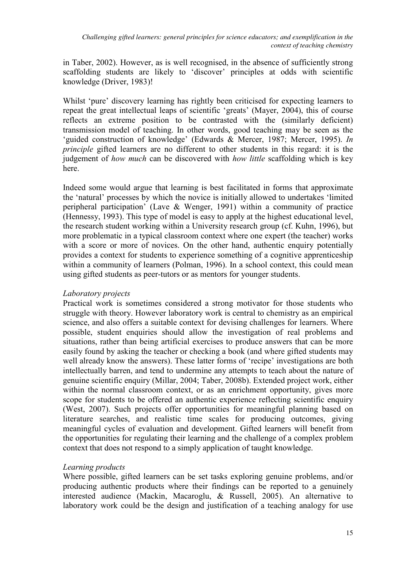in Taber, 2002). However, as is well recognised, in the absence of sufficiently strong scaffolding students are likely to 'discover' principles at odds with scientific knowledge (Driver, 1983)!

Whilst 'pure' discovery learning has rightly been criticised for expecting learners to repeat the great intellectual leaps of scientific 'greats' (Mayer, 2004), this of course reflects an extreme position to be contrasted with the (similarly deficient) transmission model of teaching. In other words, good teaching may be seen as the 'guided construction of knowledge' (Edwards & Mercer, 1987; Mercer, 1995). *In principle* gifted learners are no different to other students in this regard: it is the judgement of *how much* can be discovered with *how little* scaffolding which is key here.

Indeed some would argue that learning is best facilitated in forms that approximate the 'natural' processes by which the novice is initially allowed to undertakes 'limited peripheral participation' (Lave & Wenger, 1991) within a community of practice (Hennessy, 1993). This type of model is easy to apply at the highest educational level, the research student working within a University research group (cf. Kuhn, 1996), but more problematic in a typical classroom context where one expert (the teacher) works with a score or more of novices. On the other hand, authentic enquiry potentially provides a context for students to experience something of a cognitive apprenticeship within a community of learners (Polman, 1996). In a school context, this could mean using gifted students as peer-tutors or as mentors for younger students.

## *Laboratory projects*

Practical work is sometimes considered a strong motivator for those students who struggle with theory. However laboratory work is central to chemistry as an empirical science, and also offers a suitable context for devising challenges for learners. Where possible, student enquiries should allow the investigation of real problems and situations, rather than being artificial exercises to produce answers that can be more easily found by asking the teacher or checking a book (and where gifted students may well already know the answers). These latter forms of 'recipe' investigations are both intellectually barren, and tend to undermine any attempts to teach about the nature of genuine scientific enquiry (Millar, 2004; Taber, 2008b). Extended project work, either within the normal classroom context, or as an enrichment opportunity, gives more scope for students to be offered an authentic experience reflecting scientific enquiry (West, 2007). Such projects offer opportunities for meaningful planning based on literature searches, and realistic time scales for producing outcomes, giving meaningful cycles of evaluation and development. Gifted learners will benefit from the opportunities for regulating their learning and the challenge of a complex problem context that does not respond to a simply application of taught knowledge.

# *Learning products*

Where possible, gifted learners can be set tasks exploring genuine problems, and/or producing authentic products where their findings can be reported to a genuinely interested audience (Mackin, Macaroglu, & Russell, 2005). An alternative to laboratory work could be the design and justification of a teaching analogy for use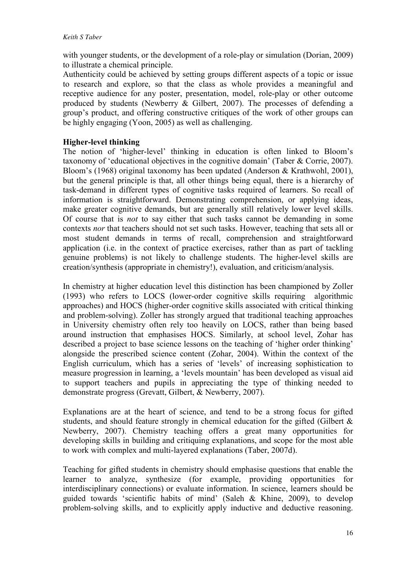with younger students, or the development of a role-play or simulation (Dorian, 2009) to illustrate a chemical principle.

Authenticity could be achieved by setting groups different aspects of a topic or issue to research and explore, so that the class as whole provides a meaningful and receptive audience for any poster, presentation, model, role-play or other outcome produced by students (Newberry & Gilbert, 2007). The processes of defending a group's product, and offering constructive critiques of the work of other groups can be highly engaging (Yoon, 2005) as well as challenging.

# **Higher-level thinking**

The notion of 'higher-level' thinking in education is often linked to Bloom's taxonomy of 'educational objectives in the cognitive domain' (Taber & Corrie, 2007). Bloom's (1968) original taxonomy has been updated (Anderson & Krathwohl, 2001), but the general principle is that, all other things being equal, there is a hierarchy of task-demand in different types of cognitive tasks required of learners. So recall of information is straightforward. Demonstrating comprehension, or applying ideas, make greater cognitive demands, but are generally still relatively lower level skills. Of course that is *not* to say either that such tasks cannot be demanding in some contexts *nor* that teachers should not set such tasks. However, teaching that sets all or most student demands in terms of recall, comprehension and straightforward application (i.e. in the context of practice exercises, rather than as part of tackling genuine problems) is not likely to challenge students. The higher-level skills are creation/synthesis (appropriate in chemistry!), evaluation, and criticism/analysis.

In chemistry at higher education level this distinction has been championed by Zoller (1993) who refers to LOCS (lower-order cognitive skills requiring algorithmic approaches) and HOCS (higher-order cognitive skills associated with critical thinking and problem-solving). Zoller has strongly argued that traditional teaching approaches in University chemistry often rely too heavily on LOCS, rather than being based around instruction that emphasises HOCS. Similarly, at school level, Zohar has described a project to base science lessons on the teaching of 'higher order thinking' alongside the prescribed science content (Zohar, 2004). Within the context of the English curriculum, which has a series of 'levels' of increasing sophistication to measure progression in learning, a 'levels mountain' has been developed as visual aid to support teachers and pupils in appreciating the type of thinking needed to demonstrate progress (Grevatt, Gilbert, & Newberry, 2007).

Explanations are at the heart of science, and tend to be a strong focus for gifted students, and should feature strongly in chemical education for the gifted (Gilbert & Newberry, 2007). Chemistry teaching offers a great many opportunities for developing skills in building and critiquing explanations, and scope for the most able to work with complex and multi-layered explanations (Taber, 2007d).

Teaching for gifted students in chemistry should emphasise questions that enable the learner to analyze, synthesize (for example, providing opportunities for interdisciplinary connections) or evaluate information. In science, learners should be guided towards 'scientific habits of mind' (Saleh & Khine, 2009), to develop problem-solving skills, and to explicitly apply inductive and deductive reasoning.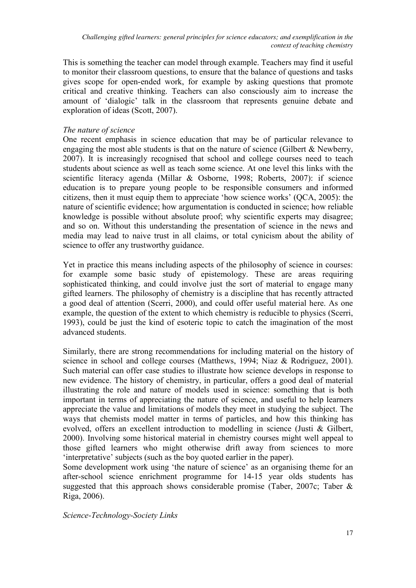This is something the teacher can model through example. Teachers may find it useful to monitor their classroom questions, to ensure that the balance of questions and tasks gives scope for open-ended work, for example by asking questions that promote critical and creative thinking. Teachers can also consciously aim to increase the amount of 'dialogic' talk in the classroom that represents genuine debate and exploration of ideas (Scott, 2007).

# *The nature of science*

One recent emphasis in science education that may be of particular relevance to engaging the most able students is that on the nature of science (Gilbert & Newberry, 2007). It is increasingly recognised that school and college courses need to teach students about science as well as teach some science. At one level this links with the scientific literacy agenda (Millar & Osborne, 1998; Roberts, 2007): if science education is to prepare young people to be responsible consumers and informed citizens, then it must equip them to appreciate 'how science works' (QCA, 2005): the nature of scientific evidence; how argumentation is conducted in science; how reliable knowledge is possible without absolute proof; why scientific experts may disagree; and so on. Without this understanding the presentation of science in the news and media may lead to naive trust in all claims, or total cynicism about the ability of science to offer any trustworthy guidance.

Yet in practice this means including aspects of the philosophy of science in courses: for example some basic study of epistemology. These are areas requiring sophisticated thinking, and could involve just the sort of material to engage many gifted learners. The philosophy of chemistry is a discipline that has recently attracted a good deal of attention (Scerri, 2000), and could offer useful material here. As one example, the question of the extent to which chemistry is reducible to physics (Scerri, 1993), could be just the kind of esoteric topic to catch the imagination of the most advanced students.

Similarly, there are strong recommendations for including material on the history of science in school and college courses (Matthews, 1994; Niaz & Rodriguez, 2001). Such material can offer case studies to illustrate how science develops in response to new evidence. The history of chemistry, in particular, offers a good deal of material illustrating the role and nature of models used in science: something that is both important in terms of appreciating the nature of science, and useful to help learners appreciate the value and limitations of models they meet in studying the subject. The ways that chemists model matter in terms of particles, and how this thinking has evolved, offers an excellent introduction to modelling in science (Justi & Gilbert, 2000). Involving some historical material in chemistry courses might well appeal to those gifted learners who might otherwise drift away from sciences to more 'interpretative' subjects (such as the boy quoted earlier in the paper).

Some development work using 'the nature of science' as an organising theme for an after-school science enrichment programme for 14-15 year olds students has suggested that this approach shows considerable promise (Taber, 2007c; Taber & Riga, 2006).

*Science-Technology-Society Links*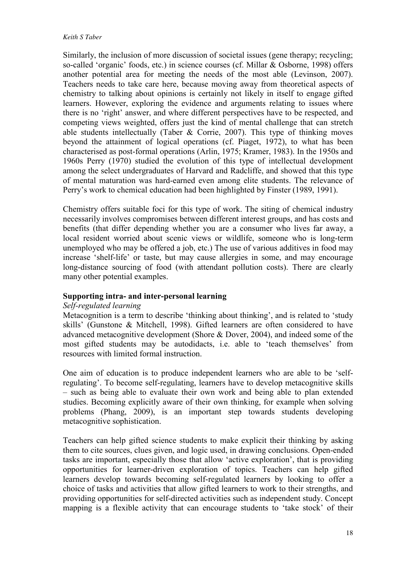Similarly, the inclusion of more discussion of societal issues (gene therapy; recycling; so-called 'organic' foods, etc.) in science courses (cf. Millar & Osborne, 1998) offers another potential area for meeting the needs of the most able (Levinson, 2007). Teachers needs to take care here, because moving away from theoretical aspects of chemistry to talking about opinions is certainly not likely in itself to engage gifted learners. However, exploring the evidence and arguments relating to issues where there is no 'right' answer, and where different perspectives have to be respected, and competing views weighted, offers just the kind of mental challenge that can stretch able students intellectually (Taber & Corrie, 2007). This type of thinking moves beyond the attainment of logical operations (cf. Piaget, 1972), to what has been characterised as post-formal operations (Arlin, 1975; Kramer, 1983). In the 1950s and 1960s Perry (1970) studied the evolution of this type of intellectual development among the select undergraduates of Harvard and Radcliffe, and showed that this type of mental maturation was hard-earned even among elite students. The relevance of Perry's work to chemical education had been highlighted by Finster (1989, 1991).

Chemistry offers suitable foci for this type of work. The siting of chemical industry necessarily involves compromises between different interest groups, and has costs and benefits (that differ depending whether you are a consumer who lives far away, a local resident worried about scenic views or wildlife, someone who is long-term unemployed who may be offered a job, etc.) The use of various additives in food may increase 'shelf-life' or taste, but may cause allergies in some, and may encourage long-distance sourcing of food (with attendant pollution costs). There are clearly many other potential examples.

### **Supporting intra- and inter-personal learning**

#### *Self-regulated learning*

Metacognition is a term to describe 'thinking about thinking', and is related to 'study skills' (Gunstone & Mitchell, 1998). Gifted learners are often considered to have advanced metacognitive development (Shore & Dover, 2004), and indeed some of the most gifted students may be autodidacts, i.e. able to 'teach themselves' from resources with limited formal instruction.

One aim of education is to produce independent learners who are able to be 'selfregulating'. To become self-regulating, learners have to develop metacognitive skills – such as being able to evaluate their own work and being able to plan extended studies. Becoming explicitly aware of their own thinking, for example when solving problems (Phang, 2009), is an important step towards students developing metacognitive sophistication.

Teachers can help gifted science students to make explicit their thinking by asking them to cite sources, clues given, and logic used, in drawing conclusions. Open-ended tasks are important, especially those that allow 'active exploration', that is providing opportunities for learner-driven exploration of topics. Teachers can help gifted learners develop towards becoming self-regulated learners by looking to offer a choice of tasks and activities that allow gifted learners to work to their strengths, and providing opportunities for self-directed activities such as independent study. Concept mapping is a flexible activity that can encourage students to 'take stock' of their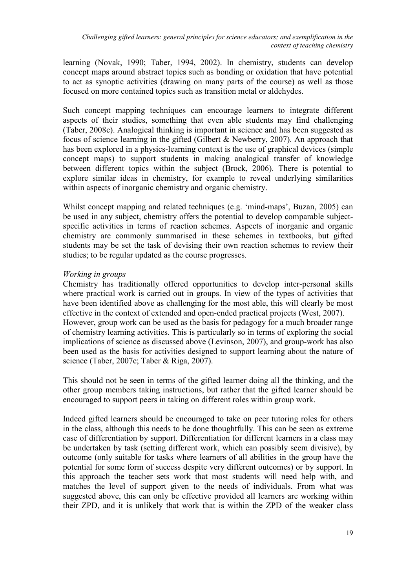learning (Novak, 1990; Taber, 1994, 2002). In chemistry, students can develop concept maps around abstract topics such as bonding or oxidation that have potential to act as synoptic activities (drawing on many parts of the course) as well as those focused on more contained topics such as transition metal or aldehydes.

Such concept mapping techniques can encourage learners to integrate different aspects of their studies, something that even able students may find challenging (Taber, 2008c). Analogical thinking is important in science and has been suggested as focus of science learning in the gifted (Gilbert & Newberry, 2007). An approach that has been explored in a physics-learning context is the use of graphical devices (simple concept maps) to support students in making analogical transfer of knowledge between different topics within the subject (Brock, 2006). There is potential to explore similar ideas in chemistry, for example to reveal underlying similarities within aspects of inorganic chemistry and organic chemistry.

Whilst concept mapping and related techniques (e.g. 'mind-maps', Buzan, 2005) can be used in any subject, chemistry offers the potential to develop comparable subjectspecific activities in terms of reaction schemes. Aspects of inorganic and organic chemistry are commonly summarised in these schemes in textbooks, but gifted students may be set the task of devising their own reaction schemes to review their studies; to be regular updated as the course progresses.

# *Working in groups*

Chemistry has traditionally offered opportunities to develop inter-personal skills where practical work is carried out in groups. In view of the types of activities that have been identified above as challenging for the most able, this will clearly be most effective in the context of extended and open-ended practical projects (West, 2007). However, group work can be used as the basis for pedagogy for a much broader range of chemistry learning activities. This is particularly so in terms of exploring the social implications of science as discussed above (Levinson, 2007), and group-work has also been used as the basis for activities designed to support learning about the nature of science (Taber, 2007c; Taber & Riga, 2007).

This should not be seen in terms of the gifted learner doing all the thinking, and the other group members taking instructions, but rather that the gifted learner should be encouraged to support peers in taking on different roles within group work.

Indeed gifted learners should be encouraged to take on peer tutoring roles for others in the class, although this needs to be done thoughtfully. This can be seen as extreme case of differentiation by support. Differentiation for different learners in a class may be undertaken by task (setting different work, which can possibly seem divisive), by outcome (only suitable for tasks where learners of all abilities in the group have the potential for some form of success despite very different outcomes) or by support. In this approach the teacher sets work that most students will need help with, and matches the level of support given to the needs of individuals. From what was suggested above, this can only be effective provided all learners are working within their ZPD, and it is unlikely that work that is within the ZPD of the weaker class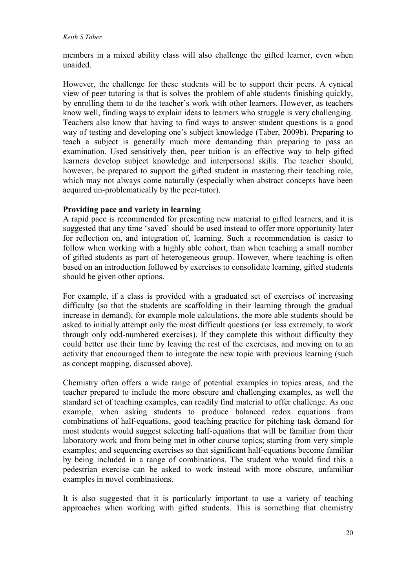members in a mixed ability class will also challenge the gifted learner, even when unaided.

However, the challenge for these students will be to support their peers. A cynical view of peer tutoring is that is solves the problem of able students finishing quickly, by enrolling them to do the teacher's work with other learners. However, as teachers know well, finding ways to explain ideas to learners who struggle is very challenging. Teachers also know that having to find ways to answer student questions is a good way of testing and developing one's subject knowledge (Taber, 2009b). Preparing to teach a subject is generally much more demanding than preparing to pass an examination. Used sensitively then, peer tuition is an effective way to help gifted learners develop subject knowledge and interpersonal skills. The teacher should, however, be prepared to support the gifted student in mastering their teaching role, which may not always come naturally (especially when abstract concepts have been acquired un-problematically by the peer-tutor).

### **Providing pace and variety in learning**

A rapid pace is recommended for presenting new material to gifted learners, and it is suggested that any time 'saved' should be used instead to offer more opportunity later for reflection on, and integration of, learning. Such a recommendation is easier to follow when working with a highly able cohort, than when teaching a small number of gifted students as part of heterogeneous group. However, where teaching is often based on an introduction followed by exercises to consolidate learning, gifted students should be given other options.

For example, if a class is provided with a graduated set of exercises of increasing difficulty (so that the students are scaffolding in their learning through the gradual increase in demand), for example mole calculations, the more able students should be asked to initially attempt only the most difficult questions (or less extremely, to work through only odd-numbered exercises). If they complete this without difficulty they could better use their time by leaving the rest of the exercises, and moving on to an activity that encouraged them to integrate the new topic with previous learning (such as concept mapping, discussed above).

Chemistry often offers a wide range of potential examples in topics areas, and the teacher prepared to include the more obscure and challenging examples, as well the standard set of teaching examples, can readily find material to offer challenge. As one example, when asking students to produce balanced redox equations from combinations of half-equations, good teaching practice for pitching task demand for most students would suggest selecting half-equations that will be familiar from their laboratory work and from being met in other course topics; starting from very simple examples; and sequencing exercises so that significant half-equations become familiar by being included in a range of combinations. The student who would find this a pedestrian exercise can be asked to work instead with more obscure, unfamiliar examples in novel combinations.

It is also suggested that it is particularly important to use a variety of teaching approaches when working with gifted students. This is something that chemistry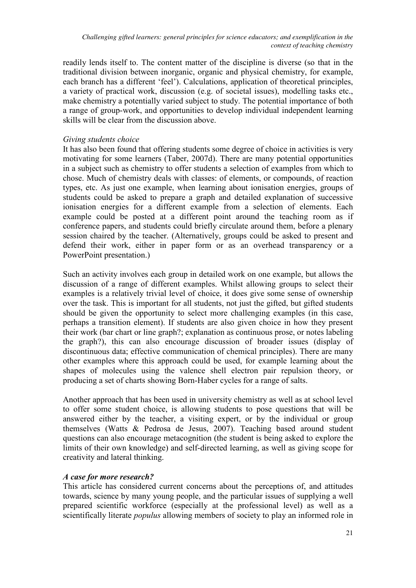readily lends itself to. The content matter of the discipline is diverse (so that in the traditional division between inorganic, organic and physical chemistry, for example, each branch has a different 'feel'). Calculations, application of theoretical principles, a variety of practical work, discussion (e.g. of societal issues), modelling tasks etc., make chemistry a potentially varied subject to study. The potential importance of both a range of group-work, and opportunities to develop individual independent learning skills will be clear from the discussion above.

### *Giving students choice*

It has also been found that offering students some degree of choice in activities is very motivating for some learners (Taber, 2007d). There are many potential opportunities in a subject such as chemistry to offer students a selection of examples from which to chose. Much of chemistry deals with classes: of elements, or compounds, of reaction types, etc. As just one example, when learning about ionisation energies, groups of students could be asked to prepare a graph and detailed explanation of successive ionisation energies for a different example from a selection of elements. Each example could be posted at a different point around the teaching room as if conference papers, and students could briefly circulate around them, before a plenary session chaired by the teacher. (Alternatively, groups could be asked to present and defend their work, either in paper form or as an overhead transparency or a PowerPoint presentation.)

Such an activity involves each group in detailed work on one example, but allows the discussion of a range of different examples. Whilst allowing groups to select their examples is a relatively trivial level of choice, it does give some sense of ownership over the task. This is important for all students, not just the gifted, but gifted students should be given the opportunity to select more challenging examples (in this case, perhaps a transition element). If students are also given choice in how they present their work (bar chart or line graph?; explanation as continuous prose, or notes labeling the graph?), this can also encourage discussion of broader issues (display of discontinuous data; effective communication of chemical principles). There are many other examples where this approach could be used, for example learning about the shapes of molecules using the valence shell electron pair repulsion theory, or producing a set of charts showing Born-Haber cycles for a range of salts.

Another approach that has been used in university chemistry as well as at school level to offer some student choice, is allowing students to pose questions that will be answered either by the teacher, a visiting expert, or by the individual or group themselves (Watts & Pedrosa de Jesus, 2007). Teaching based around student questions can also encourage metacognition (the student is being asked to explore the limits of their own knowledge) and self-directed learning, as well as giving scope for creativity and lateral thinking.

# *A case for more research?*

This article has considered current concerns about the perceptions of, and attitudes towards, science by many young people, and the particular issues of supplying a well prepared scientific workforce (especially at the professional level) as well as a scientifically literate *populus* allowing members of society to play an informed role in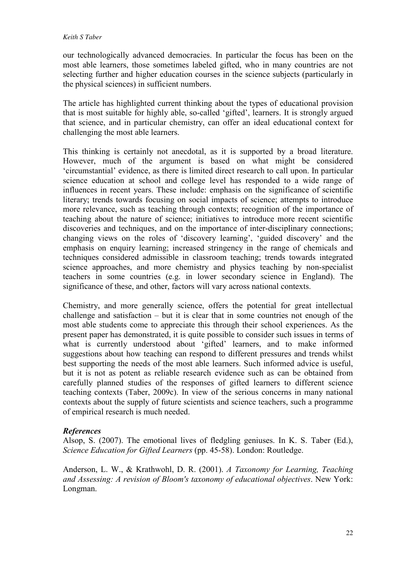our technologically advanced democracies. In particular the focus has been on the most able learners, those sometimes labeled gifted, who in many countries are not selecting further and higher education courses in the science subjects (particularly in the physical sciences) in sufficient numbers.

The article has highlighted current thinking about the types of educational provision that is most suitable for highly able, so-called 'gifted', learners. It is strongly argued that science, and in particular chemistry, can offer an ideal educational context for challenging the most able learners.

This thinking is certainly not anecdotal, as it is supported by a broad literature. However, much of the argument is based on what might be considered 'circumstantial' evidence, as there is limited direct research to call upon. In particular science education at school and college level has responded to a wide range of influences in recent years. These include: emphasis on the significance of scientific literary; trends towards focusing on social impacts of science; attempts to introduce more relevance, such as teaching through contexts; recognition of the importance of teaching about the nature of science; initiatives to introduce more recent scientific discoveries and techniques, and on the importance of inter-disciplinary connections; changing views on the roles of 'discovery learning', 'guided discovery' and the emphasis on enquiry learning; increased stringency in the range of chemicals and techniques considered admissible in classroom teaching; trends towards integrated science approaches, and more chemistry and physics teaching by non-specialist teachers in some countries (e.g. in lower secondary science in England). The significance of these, and other, factors will vary across national contexts.

Chemistry, and more generally science, offers the potential for great intellectual challenge and satisfaction – but it is clear that in some countries not enough of the most able students come to appreciate this through their school experiences. As the present paper has demonstrated, it is quite possible to consider such issues in terms of what is currently understood about 'gifted' learners, and to make informed suggestions about how teaching can respond to different pressures and trends whilst best supporting the needs of the most able learners. Such informed advice is useful, but it is not as potent as reliable research evidence such as can be obtained from carefully planned studies of the responses of gifted learners to different science teaching contexts (Taber, 2009c). In view of the serious concerns in many national contexts about the supply of future scientists and science teachers, such a programme of empirical research is much needed.

### *References*

Alsop, S. (2007). The emotional lives of fledgling geniuses. In K. S. Taber (Ed.), *Science Education for Gifted Learners* (pp. 45-58). London: Routledge.

Anderson, L. W., & Krathwohl, D. R. (2001). *A Taxonomy for Learning, Teaching and Assessing: A revision of Bloom's taxonomy of educational objectives*. New York: Longman.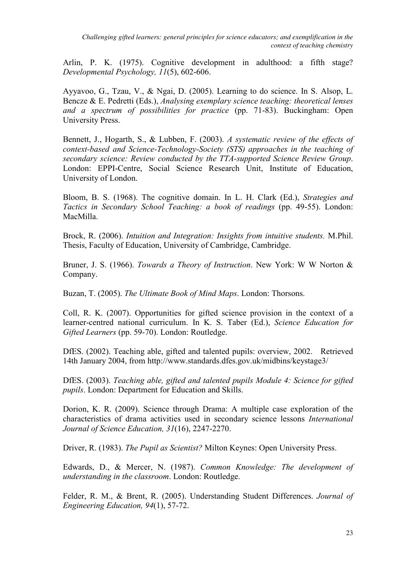Arlin, P. K. (1975). Cognitive development in adulthood: a fifth stage? *Developmental Psychology, 11*(5), 602-606.

Ayyavoo, G., Tzau, V., & Ngai, D. (2005). Learning to do science. In S. Alsop, L. Bencze & E. Pedretti (Eds.), *Analysing exemplary science teaching: theoretical lenses and a spectrum of possibilities for practice* (pp. 71-83). Buckingham: Open University Press.

Bennett, J., Hogarth, S., & Lubben, F. (2003). *A systematic review of the effects of context-based and Science-Technology-Society (STS) approaches in the teaching of secondary science: Review conducted by the TTA-supported Science Review Group*. London: EPPI-Centre, Social Science Research Unit, Institute of Education, University of London.

Bloom, B. S. (1968). The cognitive domain. In L. H. Clark (Ed.), *Strategies and Tactics in Secondary School Teaching: a book of readings* (pp. 49-55). London: MacMilla.

Brock, R. (2006). *Intuition and Integration: Insights from intuitive students.* M.Phil. Thesis, Faculty of Education, University of Cambridge, Cambridge.

Bruner, J. S. (1966). *Towards a Theory of Instruction*. New York: W W Norton & Company.

Buzan, T. (2005). *The Ultimate Book of Mind Maps*. London: Thorsons.

Coll, R. K. (2007). Opportunities for gifted science provision in the context of a learner-centred national curriculum. In K. S. Taber (Ed.), *Science Education for Gifted Learners* (pp. 59-70). London: Routledge.

DfES. (2002). Teaching able, gifted and talented pupils: overview, 2002. Retrieved 14th January 2004, from http://www.standards.dfes.gov.uk/midbins/keystage3/

DfES. (2003). *Teaching able, gifted and talented pupils Module 4: Science for gifted pupils*. London: Department for Education and Skills.

Dorion, K. R. (2009). Science through Drama: A multiple case exploration of the characteristics of drama activities used in secondary science lessons *International Journal of Science Education, 31*(16), 2247-2270.

Driver, R. (1983). *The Pupil as Scientist?* Milton Keynes: Open University Press.

Edwards, D., & Mercer, N. (1987). *Common Knowledge: The development of understanding in the classroom*. London: Routledge.

Felder, R. M., & Brent, R. (2005). Understanding Student Differences. *Journal of Engineering Education, 94*(1), 57-72.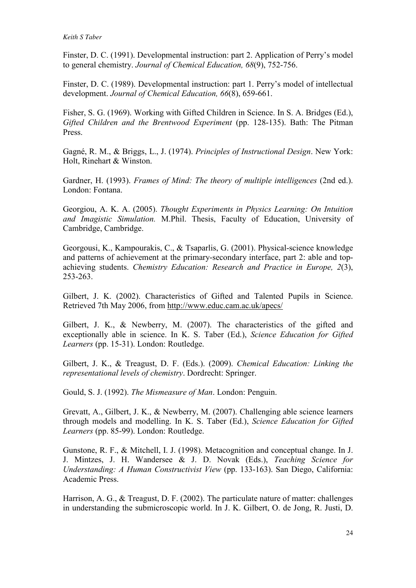Finster, D. C. (1991). Developmental instruction: part 2. Application of Perry's model to general chemistry. *Journal of Chemical Education, 68*(9), 752-756.

Finster, D. C. (1989). Developmental instruction: part 1. Perry's model of intellectual development. *Journal of Chemical Education, 66*(8), 659-661.

Fisher, S. G. (1969). Working with Gifted Children in Science. In S. A. Bridges (Ed.), *Gifted Children and the Brentwood Experiment* (pp. 128-135). Bath: The Pitman Press.

Gagné, R. M., & Briggs, L., J. (1974). *Principles of Instructional Design*. New York: Holt, Rinehart & Winston.

Gardner, H. (1993). *Frames of Mind: The theory of multiple intelligences* (2nd ed.). London: Fontana.

Georgiou, A. K. A. (2005). *Thought Experiments in Physics Learning: On Intuition and Imagistic Simulation.* M.Phil. Thesis, Faculty of Education, University of Cambridge, Cambridge.

Georgousi, K., Kampourakis, C., & Tsaparlis, G. (2001). Physical-science knowledge and patterns of achievement at the primary-secondary interface, part 2: able and topachieving students. *Chemistry Education: Research and Practice in Europe, 2*(3), 253-263.

Gilbert, J. K. (2002). Characteristics of Gifted and Talented Pupils in Science. Retrieved 7th May 2006, from http://www.educ.cam.ac.uk/apecs/

Gilbert, J. K., & Newberry, M. (2007). The characteristics of the gifted and exceptionally able in science. In K. S. Taber (Ed.), *Science Education for Gifted Learners* (pp. 15-31). London: Routledge.

Gilbert, J. K., & Treagust, D. F. (Eds.). (2009). *Chemical Education: Linking the representational levels of chemistry*. Dordrecht: Springer.

Gould, S. J. (1992). *The Mismeasure of Man*. London: Penguin.

Grevatt, A., Gilbert, J. K., & Newberry, M. (2007). Challenging able science learners through models and modelling. In K. S. Taber (Ed.), *Science Education for Gifted Learners* (pp. 85-99). London: Routledge.

Gunstone, R. F., & Mitchell, I. J. (1998). Metacognition and conceptual change. In J. J. Mintzes, J. H. Wandersee & J. D. Novak (Eds.), *Teaching Science for Understanding: A Human Constructivist View* (pp. 133-163). San Diego, California: Academic Press.

Harrison, A. G., & Treagust, D. F. (2002). The particulate nature of matter: challenges in understanding the submicroscopic world. In J. K. Gilbert, O. de Jong, R. Justi, D.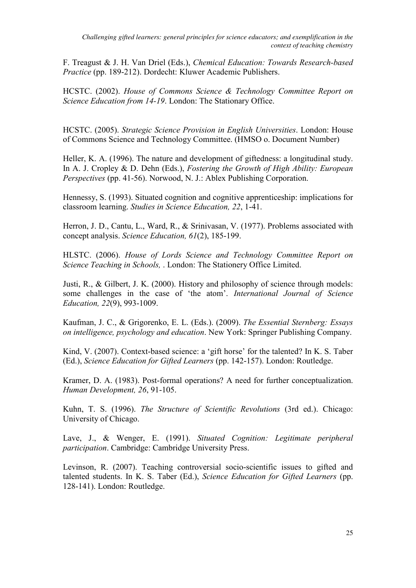F. Treagust & J. H. Van Driel (Eds.), *Chemical Education: Towards Research-based Practice* (pp. 189-212). Dordecht: Kluwer Academic Publishers.

HCSTC. (2002). *House of Commons Science & Technology Committee Report on Science Education from 14-19*. London: The Stationary Office.

HCSTC. (2005). *Strategic Science Provision in English Universities*. London: House of Commons Science and Technology Committee. (HMSO o. Document Number)

Heller, K. A. (1996). The nature and development of giftedness: a longitudinal study. In A. J. Cropley & D. Dehn (Eds.), *Fostering the Growth of High Ability: European Perspectives* (pp. 41-56). Norwood, N. J.: Ablex Publishing Corporation.

Hennessy, S. (1993). Situated cognition and cognitive apprenticeship: implications for classroom learning. *Studies in Science Education, 22*, 1-41.

Herron, J. D., Cantu, L., Ward, R., & Srinivasan, V. (1977). Problems associated with concept analysis. *Science Education, 61*(2), 185-199.

HLSTC. (2006). *House of Lords Science and Technology Committee Report on Science Teaching in Schools,* . London: The Stationery Office Limited.

Justi, R., & Gilbert, J. K. (2000). History and philosophy of science through models: some challenges in the case of 'the atom'. *International Journal of Science Education, 22*(9), 993-1009.

Kaufman, J. C., & Grigorenko, E. L. (Eds.). (2009). *The Essential Sternberg: Essays on intelligence, psychology and education*. New York: Springer Publishing Company.

Kind, V. (2007). Context-based science: a 'gift horse' for the talented? In K. S. Taber (Ed.), *Science Education for Gifted Learners* (pp. 142-157). London: Routledge.

Kramer, D. A. (1983). Post-formal operations? A need for further conceptualization. *Human Development, 26*, 91-105.

Kuhn, T. S. (1996). *The Structure of Scientific Revolutions* (3rd ed.). Chicago: University of Chicago.

Lave, J., & Wenger, E. (1991). *Situated Cognition: Legitimate peripheral participation*. Cambridge: Cambridge University Press.

Levinson, R. (2007). Teaching controversial socio-scientific issues to gifted and talented students. In K. S. Taber (Ed.), *Science Education for Gifted Learners* (pp. 128-141). London: Routledge.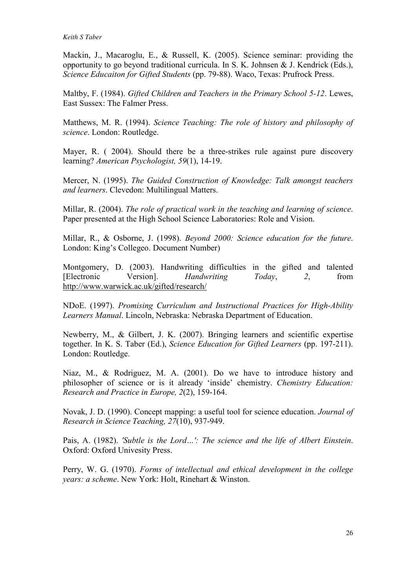Mackin, J., Macaroglu, E., & Russell, K. (2005). Science seminar: providing the opportunity to go beyond traditional curricula. In S. K. Johnsen & J. Kendrick (Eds.), *Science Educaiton for Gifted Students* (pp. 79-88). Waco, Texas: Prufrock Press.

Maltby, F. (1984). *Gifted Children and Teachers in the Primary School 5-12*. Lewes, East Sussex: The Falmer Press.

Matthews, M. R. (1994). *Science Teaching: The role of history and philosophy of science*. London: Routledge.

Mayer, R. ( 2004). Should there be a three-strikes rule against pure discovery learning? *American Psychologist, 59*(1), 14-19.

Mercer, N. (1995). *The Guided Construction of Knowledge: Talk amongst teachers and learners*. Clevedon: Multilingual Matters.

Millar, R. (2004). *The role of practical work in the teaching and learning of science*. Paper presented at the High School Science Laboratories: Role and Vision.

Millar, R., & Osborne, J. (1998). *Beyond 2000: Science education for the future*. London: King's Collegeo. Document Number)

Montgomery, D. (2003). Handwriting difficulties in the gifted and talented [Electronic Version]. *Handwriting Today*, *2*, from http://www.warwick.ac.uk/gifted/research/

NDoE. (1997). *Promising Curriculum and Instructional Practices for High-Ability Learners Manual*. Lincoln, Nebraska: Nebraska Department of Education.

Newberry, M., & Gilbert, J. K. (2007). Bringing learners and scientific expertise together. In K. S. Taber (Ed.), *Science Education for Gifted Learners* (pp. 197-211). London: Routledge.

Niaz, M., & Rodriguez, M. A. (2001). Do we have to introduce history and philosopher of science or is it already 'inside' chemistry. *Chemistry Education: Research and Practice in Europe, 2*(2), 159-164.

Novak, J. D. (1990). Concept mapping: a useful tool for science education. *Journal of Research in Science Teaching, 27*(10), 937-949.

Pais, A. (1982). *'Subtle is the Lord…': The science and the life of Albert Einstein*. Oxford: Oxford Univesity Press.

Perry, W. G. (1970). *Forms of intellectual and ethical development in the college years: a scheme*. New York: Holt, Rinehart & Winston.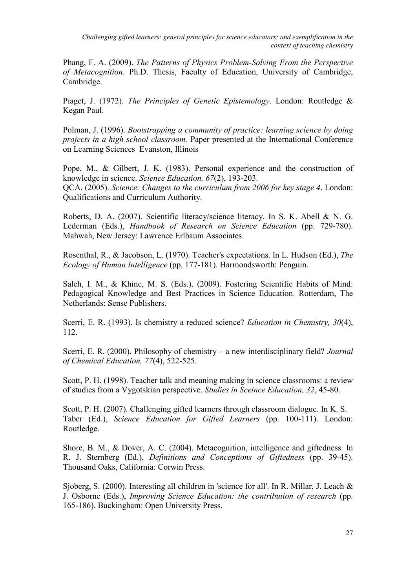Phang, F. A. (2009). *The Patterns of Physics Problem-Solving From the Perspective of Metacognition.* Ph.D. Thesis, Faculty of Education, University of Cambridge, Cambridge.

Piaget, J. (1972). *The Principles of Genetic Epistemology*. London: Routledge & Kegan Paul.

Polman, J. (1996). *Bootstrapping a community of practice: learning science by doing projects in a high school classroom.* Paper presented at the International Conference on Learning Sciences Evanston, Illinois

Pope, M., & Gilbert, J. K. (1983). Personal experience and the construction of knowledge in science. *Science Education, 67*(2), 193-203. QCA. (2005). *Science: Changes to the curriculum from 2006 for key stage 4*. London: Qualifications and Curriculum Authority.

Roberts, D. A. (2007). Scientific literacy/science literacy. In S. K. Abell & N. G. Lederman (Eds.), *Handbook of Research on Science Education* (pp. 729-780). Mahwah, New Jersey: Lawrence Erlbaum Associates.

Rosenthal, R., & Jacobson, L. (1970). Teacher's expectations. In L. Hudson (Ed.), *The Ecology of Human Intelligence* (pp. 177-181). Harmondsworth: Penguin.

Saleh, I. M., & Khine, M. S. (Eds.). (2009). Fostering Scientific Habits of Mind: Pedagogical Knowledge and Best Practices in Science Education. Rotterdam, The Netherlands: Sense Publishers.

Scerri, E. R. (1993). Is chemistry a reduced science? *Education in Chemistry, 30*(4), 112.

Scerri, E. R. (2000). Philosophy of chemistry – a new interdisciplinary field? *Journal of Chemical Education, 77*(4), 522-525.

Scott, P. H. (1998). Teacher talk and meaning making in science classrooms: a review of studies from a Vygotskian perspective. *Studies in Sceince Education, 32*, 45-80.

Scott, P. H. (2007). Challenging gifted learners through classroom dialogue. In K. S. Taber (Ed.), *Science Education for Gifted Learners* (pp. 100-111). London: Routledge.

Shore, B. M., & Dover, A. C. (2004). Metacognition, intelligence and giftedness. In R. J. Sternberg (Ed.), *Definitions and Conceptions of Giftedness* (pp. 39-45). Thousand Oaks, California: Corwin Press.

Sjoberg, S. (2000). Interesting all children in 'science for all'. In R. Millar, J. Leach & J. Osborne (Eds.), *Improving Science Education: the contribution of research* (pp. 165-186). Buckingham: Open University Press.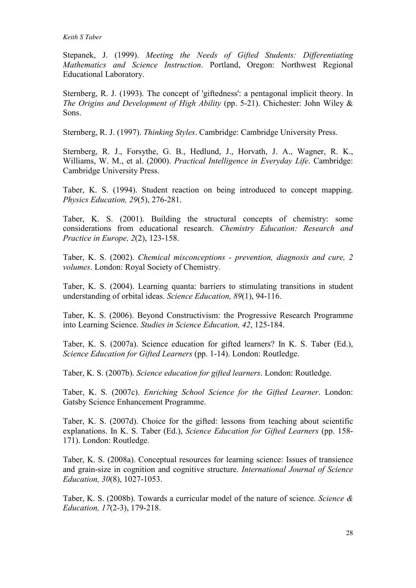#### *Keith S Taber*

Stepanek, J. (1999). *Meeting the Needs of Gifted Students: Differentiating Mathematics and Science Instruction*. Portland, Oregon: Northwest Regional Educational Laboratory.

Sternberg, R. J. (1993). The concept of 'giftedness': a pentagonal implicit theory. In *The Origins and Development of High Ability* (pp. 5-21). Chichester: John Wiley & Sons.

Sternberg, R. J. (1997). *Thinking Styles*. Cambridge: Cambridge University Press.

Sternberg, R. J., Forsythe, G. B., Hedlund, J., Horvath, J. A., Wagner, R. K., Williams, W. M., et al. (2000). *Practical Intelligence in Everyday Life*. Cambridge: Cambridge University Press.

Taber, K. S. (1994). Student reaction on being introduced to concept mapping. *Physics Education, 29*(5), 276-281.

Taber, K. S. (2001). Building the structural concepts of chemistry: some considerations from educational research. *Chemistry Education: Research and Practice in Europe, 2*(2), 123-158.

Taber, K. S. (2002). *Chemical misconceptions - prevention, diagnosis and cure, 2 volumes*. London: Royal Society of Chemistry.

Taber, K. S. (2004). Learning quanta: barriers to stimulating transitions in student understanding of orbital ideas. *Science Education, 89*(1), 94-116.

Taber, K. S. (2006). Beyond Constructivism: the Progressive Research Programme into Learning Science. *Studies in Science Education, 42*, 125-184.

Taber, K. S. (2007a). Science education for gifted learners? In K. S. Taber (Ed.), *Science Education for Gifted Learners* (pp. 1-14). London: Routledge.

Taber, K. S. (2007b). *Science education for gifted learners*. London: Routledge.

Taber, K. S. (2007c). *Enriching School Science for the Gifted Learner*. London: Gatsby Science Enhancement Programme.

Taber, K. S. (2007d). Choice for the gifted: lessons from teaching about scientific explanations. In K. S. Taber (Ed.), *Science Education for Gifted Learners* (pp. 158- 171). London: Routledge.

Taber, K. S. (2008a). Conceptual resources for learning science: Issues of transience and grain-size in cognition and cognitive structure. *International Journal of Science Education, 30*(8), 1027-1053.

Taber, K. S. (2008b). Towards a curricular model of the nature of science. *Science & Education, 17*(2-3), 179-218.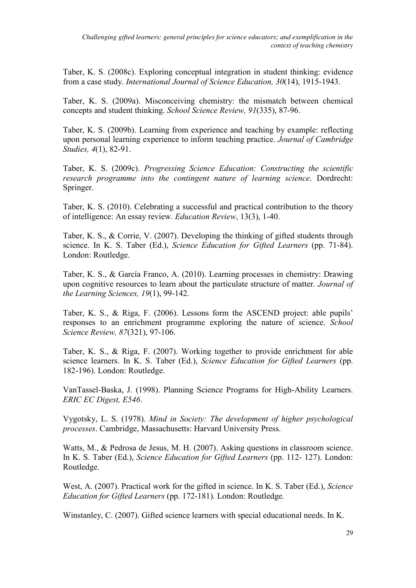Taber, K. S. (2008c). Exploring conceptual integration in student thinking: evidence from a case study. *International Journal of Science Education, 30*(14), 1915-1943.

Taber, K. S. (2009a). Misconceiving chemistry: the mismatch between chemical concepts and student thinking. *School Science Review, 91*(335), 87-96.

Taber, K. S. (2009b). Learning from experience and teaching by example: reflecting upon personal learning experience to inform teaching practice. *Journal of Cambridge Studies, 4*(1), 82-91.

Taber, K. S. (2009c). *Progressing Science Education: Constructing the scientific research programme into the contingent nature of learning science*. Dordrecht: Springer.

Taber, K. S. (2010). Celebrating a successful and practical contribution to the theory of intelligence: An essay review. *Education Review*, 13(3), 1-40.

Taber, K. S., & Corrie, V. (2007). Developing the thinking of gifted students through science. In K. S. Taber (Ed.), *Science Education for Gifted Learners* (pp. 71-84). London: Routledge.

Taber, K. S., & García Franco, A. (2010). Learning processes in chemistry: Drawing upon cognitive resources to learn about the particulate structure of matter. *Journal of the Learning Sciences, 19*(1), 99-142.

Taber, K. S., & Riga, F. (2006). Lessons form the ASCEND project: able pupils' responses to an enrichment programme exploring the nature of science. *School Science Review, 87*(321), 97-106.

Taber, K. S., & Riga, F. (2007). Working together to provide enrichment for able science learners. In K. S. Taber (Ed.), *Science Education for Gifted Learners* (pp. 182-196). London: Routledge.

VanTassel-Baska, J. (1998). Planning Science Programs for High-Ability Learners. *ERIC EC Digest, E546*.

Vygotsky, L. S. (1978). *Mind in Society: The development of higher psychological processes*. Cambridge, Massachusetts: Harvard University Press.

Watts, M., & Pedrosa de Jesus, M. H. (2007). Asking questions in classroom science. In K. S. Taber (Ed.), *Science Education for Gifted Learners* (pp. 112- 127). London: Routledge.

West, A. (2007). Practical work for the gifted in science. In K. S. Taber (Ed.), *Science Education for Gifted Learners* (pp. 172-181). London: Routledge.

Winstanley, C. (2007). Gifted science learners with special educational needs. In K.